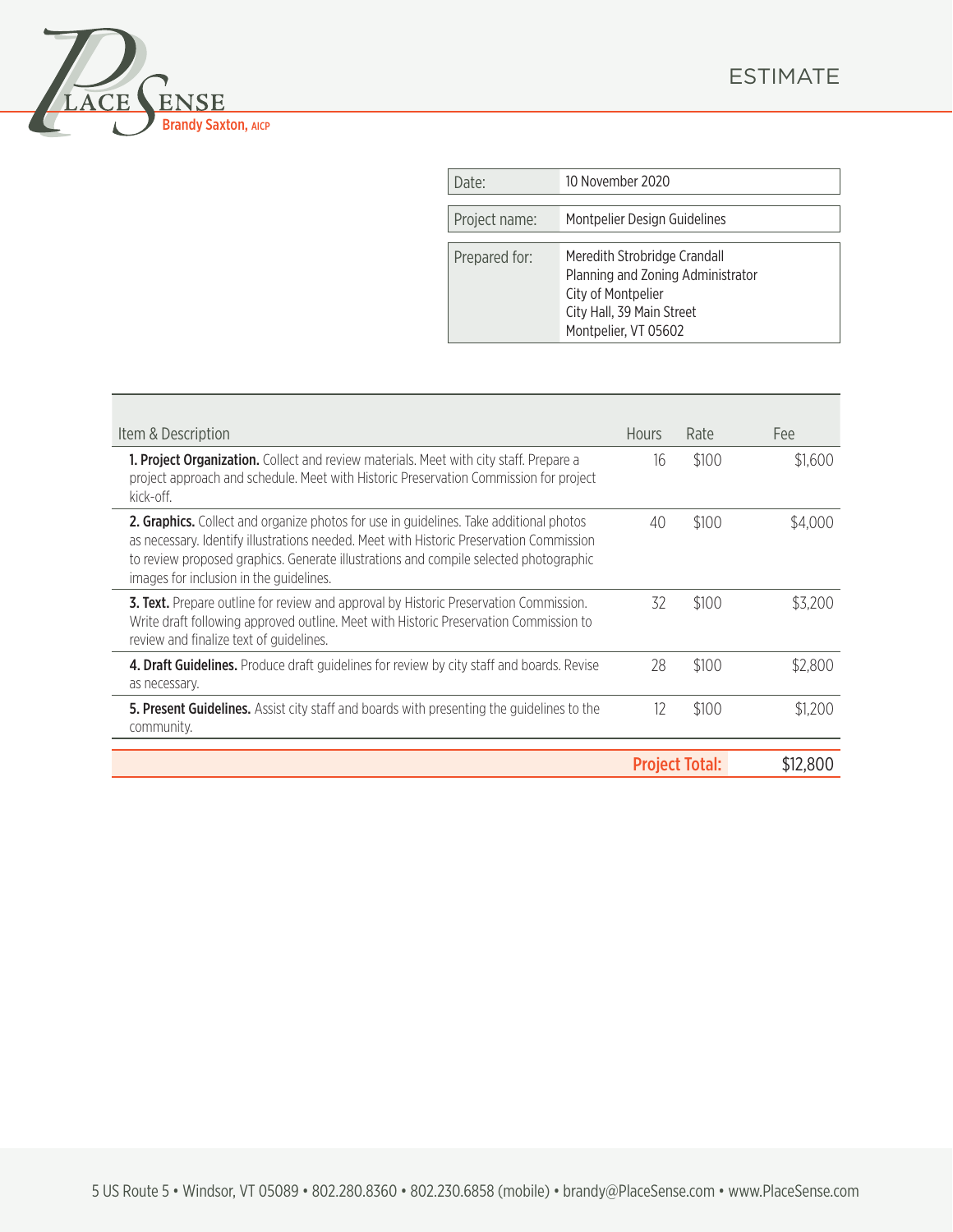



| Date:         | 10 November 2020                                                                                                                             |
|---------------|----------------------------------------------------------------------------------------------------------------------------------------------|
| Project name: | Montpelier Design Guidelines                                                                                                                 |
| Prepared for: | Meredith Strobridge Crandall<br>Planning and Zoning Administrator<br>City of Montpelier<br>City Hall, 39 Main Street<br>Montpelier, VT 05602 |

| Item & Description                                                                                                                                                                                                                                                                                                           | <b>Hours</b>          | Rate  | Fee      |
|------------------------------------------------------------------------------------------------------------------------------------------------------------------------------------------------------------------------------------------------------------------------------------------------------------------------------|-----------------------|-------|----------|
| <b>1. Project Organization.</b> Collect and review materials. Meet with city staff. Prepare a<br>project approach and schedule. Meet with Historic Preservation Commission for project<br>kick-off.                                                                                                                          | 16                    | \$100 | \$1,600  |
| <b>2. Graphics.</b> Collect and organize photos for use in guidelines. Take additional photos<br>as necessary. Identify illustrations needed. Meet with Historic Preservation Commission<br>to review proposed graphics. Generate illustrations and compile selected photographic<br>images for inclusion in the guidelines. | 40                    | \$100 | \$4,000  |
| 3. Text. Prepare outline for review and approval by Historic Preservation Commission.<br>Write draft following approved outline. Meet with Historic Preservation Commission to<br>review and finalize text of guidelines.                                                                                                    |                       | \$100 | \$3.200  |
| 4. Draft Guidelines. Produce draft guidelines for review by city staff and boards. Revise<br>as necessary.                                                                                                                                                                                                                   |                       | \$100 | \$2,800  |
| 5. Present Guidelines. Assist city staff and boards with presenting the guidelines to the<br>community.                                                                                                                                                                                                                      | 12                    | \$100 | \$1,200  |
|                                                                                                                                                                                                                                                                                                                              | <b>Project Total:</b> |       | \$12,800 |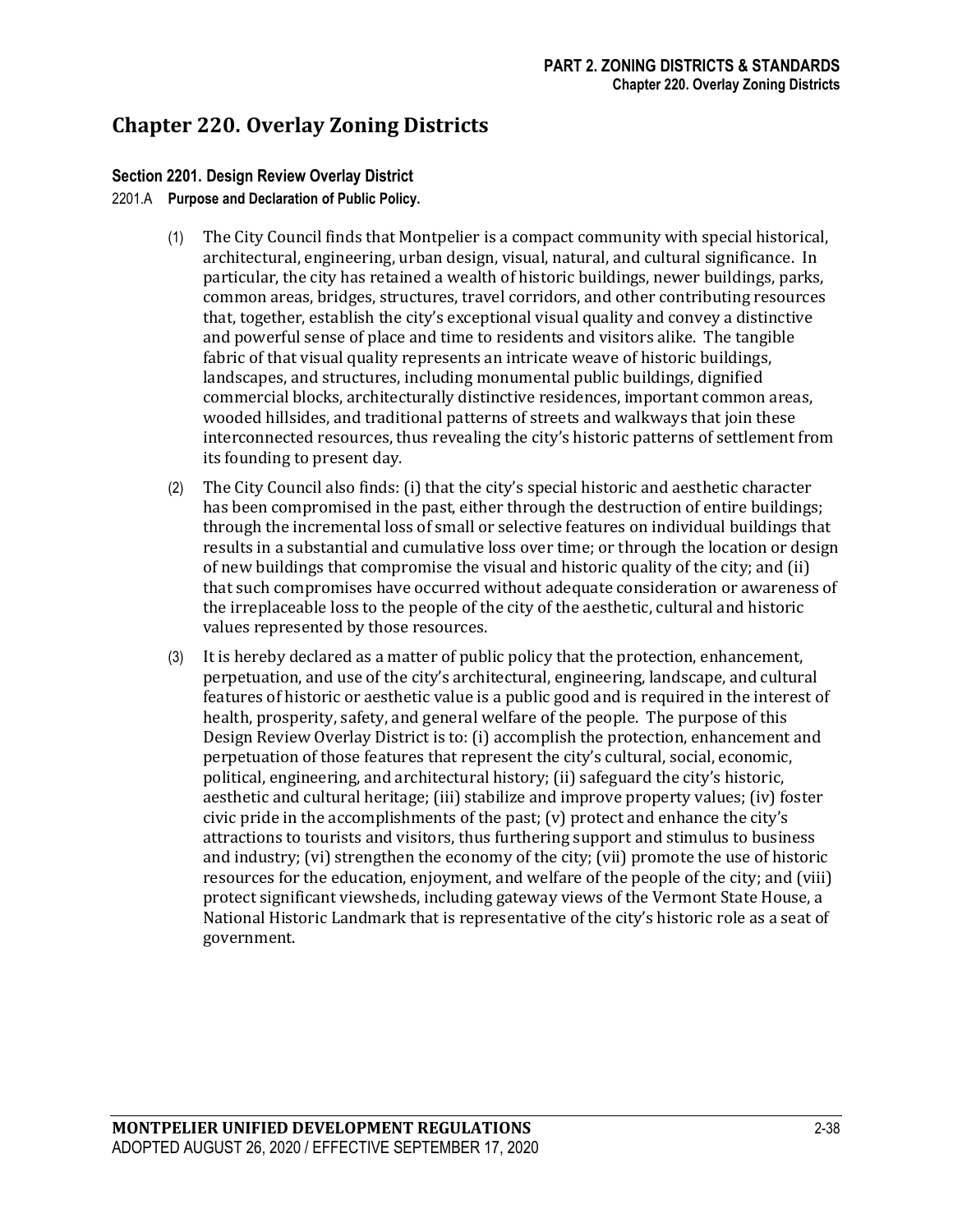# **Chapter 220. Overlay Zoning Districts**

# **Section 2201. Design Review Overlay District**

### 2201.A **Purpose and Declaration of Public Policy.**

- (1) The City Council finds that Montpelier is a compact community with special historical, architectural, engineering, urban design, visual, natural, and cultural significance. In particular, the city has retained a wealth of historic buildings, newer buildings, parks, common areas, bridges, structures, travel corridors, and other contributing resources that, together, establish the city's exceptional visual quality and convey a distinctive and powerful sense of place and time to residents and visitors alike. The tangible fabric of that visual quality represents an intricate weave of historic buildings, landscapes, and structures, including monumental public buildings, dignified commercial blocks, architecturally distinctive residences, important common areas, wooded hillsides, and traditional patterns of streets and walkways that join these interconnected resources, thus revealing the city's historic patterns of settlement from its founding to present day.
- (2) The City Council also finds: (i) that the city's special historic and aesthetic character has been compromised in the past, either through the destruction of entire buildings; through the incremental loss of small or selective features on individual buildings that results in a substantial and cumulative loss over time; or through the location or design of new buildings that compromise the visual and historic quality of the city; and (ii) that such compromises have occurred without adequate consideration or awareness of the irreplaceable loss to the people of the city of the aesthetic, cultural and historic values represented by those resources.
- (3) It is hereby declared as a matter of public policy that the protection, enhancement, perpetuation, and use of the city's architectural, engineering, landscape, and cultural features of historic or aesthetic value is a public good and is required in the interest of health, prosperity, safety, and general welfare of the people. The purpose of this Design Review Overlay District is to: (i) accomplish the protection, enhancement and perpetuation of those features that represent the city's cultural, social, economic, political, engineering, and architectural history; (ii) safeguard the city's historic, aesthetic and cultural heritage; (iii) stabilize and improve property values; (iv) foster civic pride in the accomplishments of the past;  $(v)$  protect and enhance the city's attractions to tourists and visitors, thus furthering support and stimulus to business and industry; (vi) strengthen the economy of the city; (vii) promote the use of historic resources for the education, enjoyment, and welfare of the people of the city; and (viii) protect significant viewsheds, including gateway views of the Vermont State House, a National Historic Landmark that is representative of the city's historic role as a seat of government.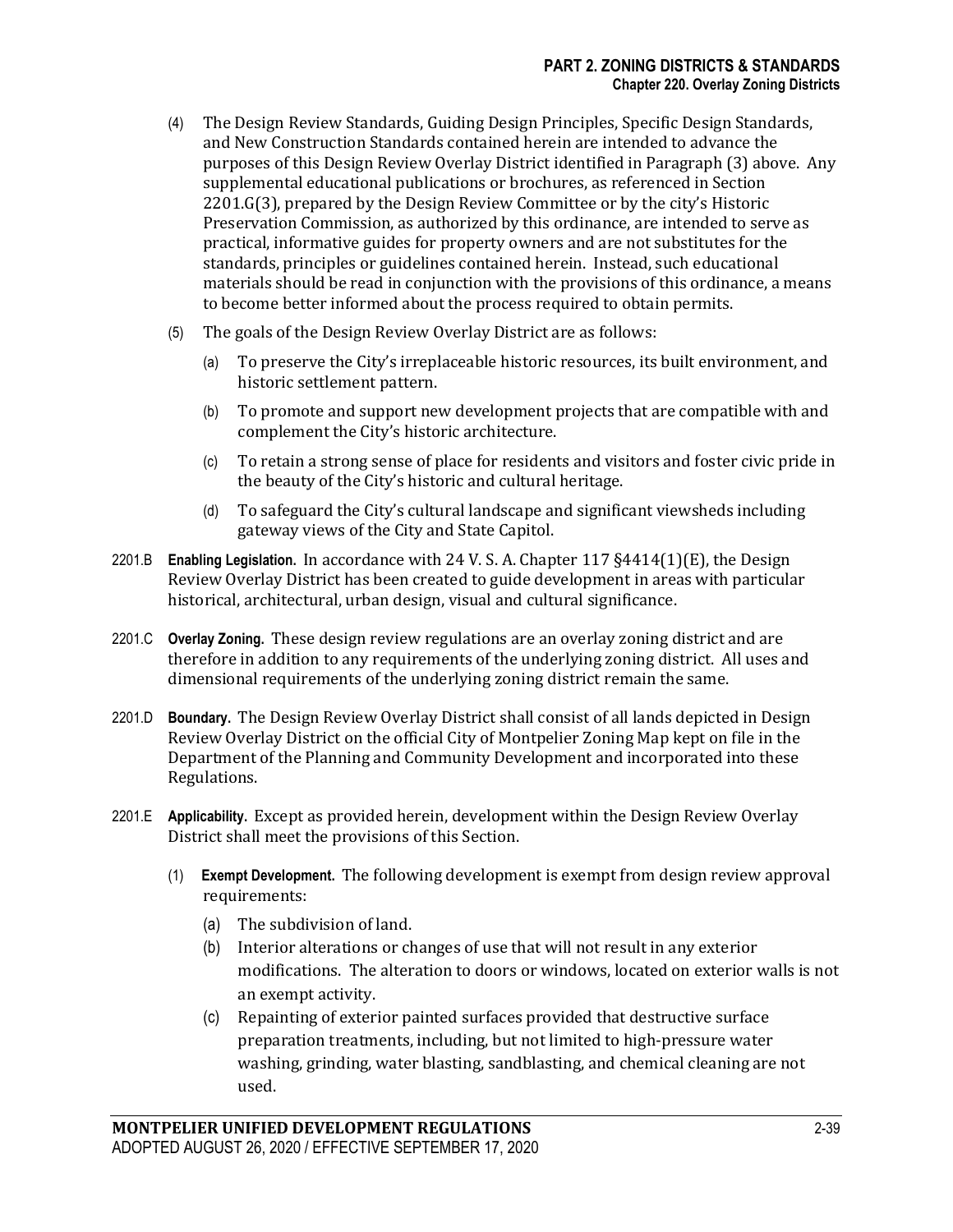- (4) The Design Review Standards, Guiding Design Principles, Specific Design Standards, and New Construction Standards contained herein are intended to advance the purposes of this Design Review Overlay District identified in Paragraph (3) above. Any supplemental educational publications or brochures, as referenced in Section 2201.G(3), prepared by the Design Review Committee or by the city's Historic Preservation Commission, as authorized by this ordinance, are intended to serve as practical, informative guides for property owners and are not substitutes for the standards, principles or guidelines contained herein. Instead, such educational materials should be read in conjunction with the provisions of this ordinance, a means to become better informed about the process required to obtain permits.
- (5) The goals of the Design Review Overlay District are as follows:
	- (a) To preserve the City's irreplaceable historic resources, its built environment, and historic settlement pattern.
	- (b) To promote and support new development projects that are compatible with and complement the City's historic architecture.
	- (c) To retain a strong sense of place for residents and visitors and foster civic pride in the beauty of the City's historic and cultural heritage.
	- (d) To safeguard the City's cultural landscape and significant viewsheds including gateway views of the City and State Capitol.
- 2201.B **Enabling Legislation.** In accordance with 24 V. S. A. Chapter 117 §4414(1)(E), the Design Review Overlay District has been created to guide development in areas with particular historical, architectural, urban design, visual and cultural significance.
- 2201.C **Overlay Zoning.** These design review regulations are an overlay zoning district and are therefore in addition to any requirements of the underlying zoning district. All uses and dimensional requirements of the underlying zoning district remain the same.
- 2201.D **Boundary.** The Design Review Overlay District shall consist of all lands depicted in Design Review Overlay District on the official City of Montpelier Zoning Map kept on file in the Department of the Planning and Community Development and incorporated into these Regulations.
- 2201.E **Applicability.** Except as provided herein, development within the Design Review Overlay District shall meet the provisions of this Section.
	- (1) **Exempt Development.** The following development is exempt from design review approval requirements:
		- (a) The subdivision of land.
		- (b) Interior alterations or changes of use that will not result in any exterior modifications. The alteration to doors or windows, located on exterior walls is not an exempt activity.
		- (c) Repainting of exterior painted surfaces provided that destructive surface preparation treatments, including, but not limited to high-pressure water washing, grinding, water blasting, sandblasting, and chemical cleaning are not used.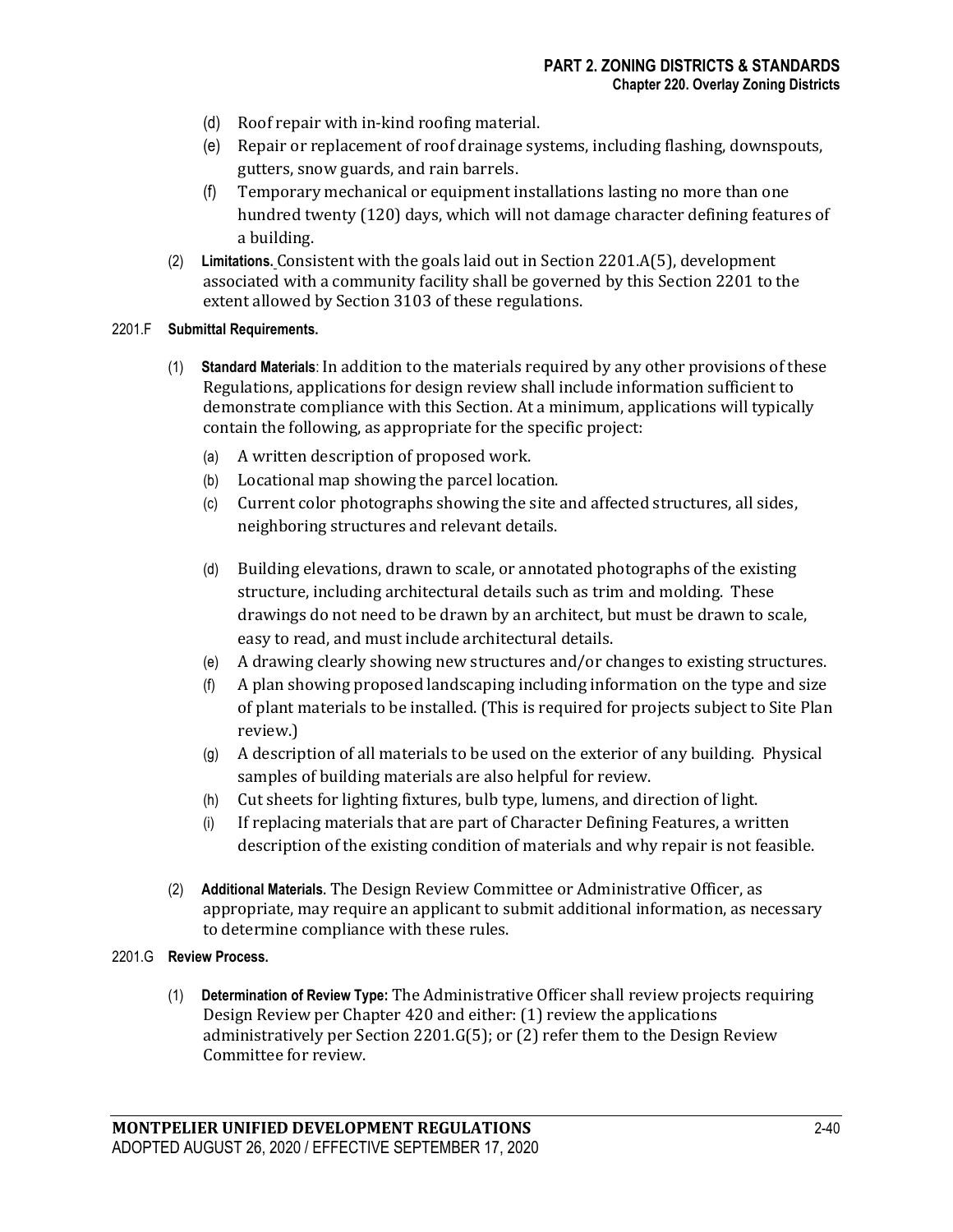- (d) Roof repair with in-kind roofing material.
- (e) Repair or replacement of roof drainage systems, including flashing, downspouts, gutters, snow guards, and rain barrels.
- (f) Temporary mechanical or equipment installations lasting no more than one hundred twenty (120) days, which will not damage character defining features of a building.
- (2) **Limitations.** Consistent with the goals laid out in Section 2201.A(5), development associated with a community facility shall be governed by this Section 2201 to the extent allowed by Section 3103 of these regulations.

#### 2201.F **Submittal Requirements.**

- (1) **Standard Materials**: In addition to the materials required by any other provisions of these Regulations, applications for design review shall include information sufficient to demonstrate compliance with this Section. At a minimum, applications will typically contain the following, as appropriate for the specific project:
	- (a) A written description of proposed work.
	- (b) Locational map showing the parcel location.
	- (c) Current color photographs showing the site and affected structures, all sides, neighboring structures and relevant details.
	- (d) Building elevations, drawn to scale, or annotated photographs of the existing structure, including architectural details such as trim and molding. These drawings do not need to be drawn by an architect, but must be drawn to scale, easy to read, and must include architectural details.
	- (e) A drawing clearly showing new structures and/or changes to existing structures.
	- (f) A plan showing proposed landscaping including information on the type and size of plant materials to be installed. (This is required for projects subject to Site Plan review.)
	- (g) A description of all materials to be used on the exterior of any building. Physical samples of building materials are also helpful for review.
	- (h) Cut sheets for lighting fixtures, bulb type, lumens, and direction of light.
	- (i) If replacing materials that are part of Character Defining Features, a written description of the existing condition of materials and why repair is not feasible.
- (2) **Additional Materials**. The Design Review Committee or Administrative Officer, as appropriate, may require an applicant to submit additional information, as necessary to determine compliance with these rules.

### 2201.G **Review Process.**

(1) **Determination of Review Type:** The Administrative Officer shall review projects requiring Design Review per Chapter 420 and either: (1) review the applications administratively per Section 2201.G(5); or (2) refer them to the Design Review Committee for review.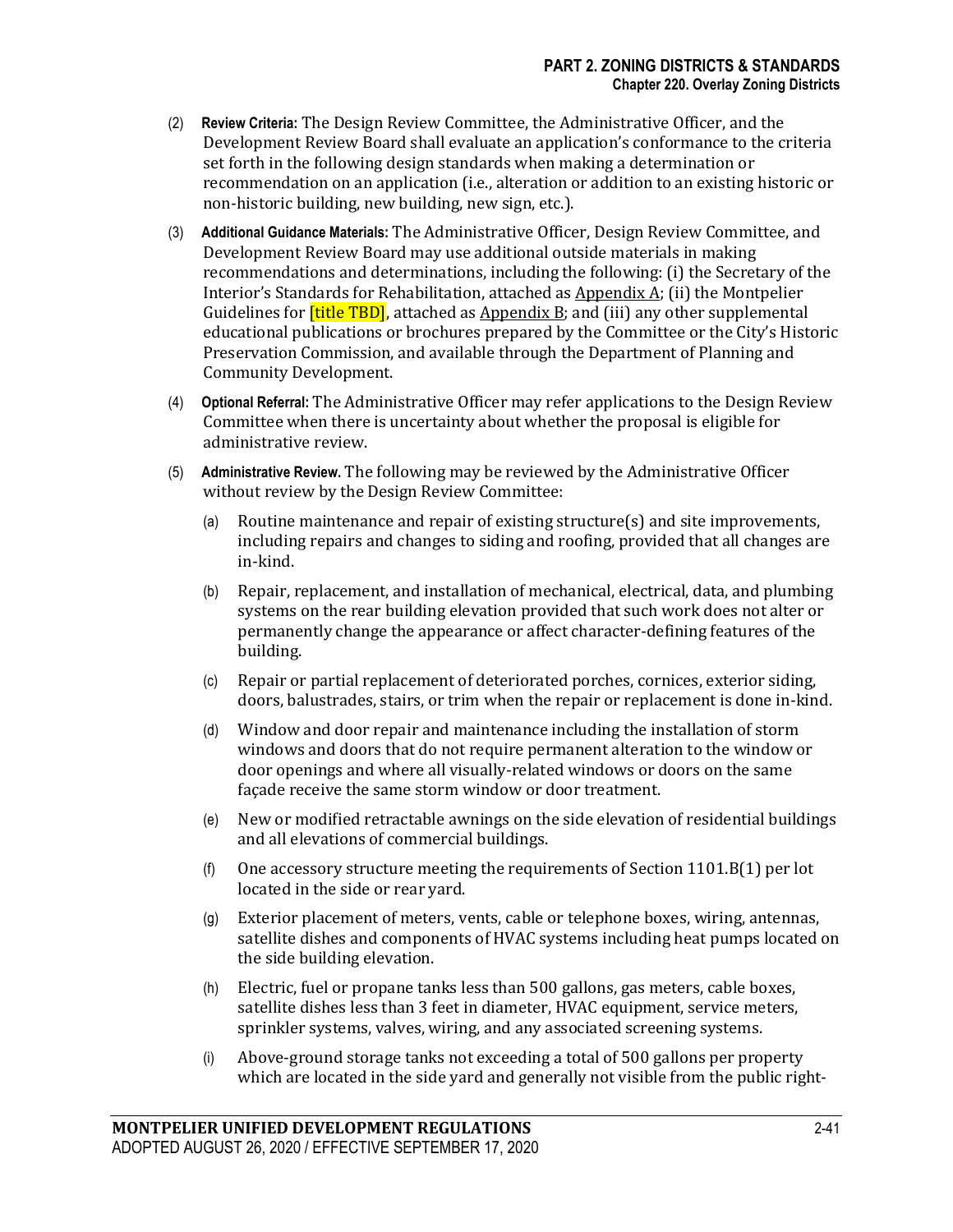- (2) **Review Criteria:** The Design Review Committee, the Administrative Officer, and the Development Review Board shall evaluate an application's conformance to the criteria set forth in the following design standards when making a determination or recommendation on an application (i.e., alteration or addition to an existing historic or non-historic building, new building, new sign, etc.).
- (3) **Additional Guidance Materials:** The Administrative Officer, Design Review Committee, and Development Review Board may use additional outside materials in making recommendations and determinations, including the following: (i) the Secretary of the Interior's Standards for Rehabilitation, attached as  $\Delta p$  pondix  $\Delta$ ; (ii) the Montpelier Guidelines for **[title TBD]**, attached as Appendix B; and (iii) any other supplemental educational publications or brochures prepared by the Committee or the City's Historic Preservation Commission, and available through the Department of Planning and Community Development. fievre<br>dards<br>dards<br>**[title**<br>blica<br>comm
- (4) **Optional Referral:** The Administrative Officer may refer applications to the Design Review Committee when there is uncertainty about whether the proposal is eligible for administrative review.
- (5) **Administrative Review.** The following may be reviewed by the Administrative Officer without review by the Design Review Committee:
	- (a) Routine maintenance and repair of existing structure(s) and site improvements, including repairs and changes to siding and roofing, provided that all changes are in-kind.
	- (b) Repair, replacement, and installation of mechanical, electrical, data, and plumbing systems on the rear building elevation provided that such work does not alter or permanently change the appearance or affect character-defining features of the building.
	- (c) Repair or partial replacement of deteriorated porches, cornices, exterior siding, doors, balustrades, stairs, or trim when the repair or replacement is done in-kind.
	- (d) Window and door repair and maintenance including the installation of storm windows and doors that do not require permanent alteration to the window or door openings and where all visually-related windows or doors on the same façade receive the same storm window or door treatment.
	- (e) New or modified retractable awnings on the side elevation of residential buildings and all elevations of commercial buildings.
	- (f) One accessory structure meeting the requirements of Section  $1101.B(1)$  per lot located in the side or rear yard.
	- (g) Exterior placement of meters, vents, cable or telephone boxes, wiring, antennas, satellite dishes and components of HVAC systems including heat pumps located on the side building elevation.
	- (h) Electric, fuel or propane tanks less than 500 gallons, gas meters, cable boxes, satellite dishes less than 3 feet in diameter, HVAC equipment, service meters, sprinkler systems, valves, wiring, and any associated screening systems.
	- (i) Above-ground storage tanks not exceeding a total of 500 gallons per property which are located in the side yard and generally not visible from the public right-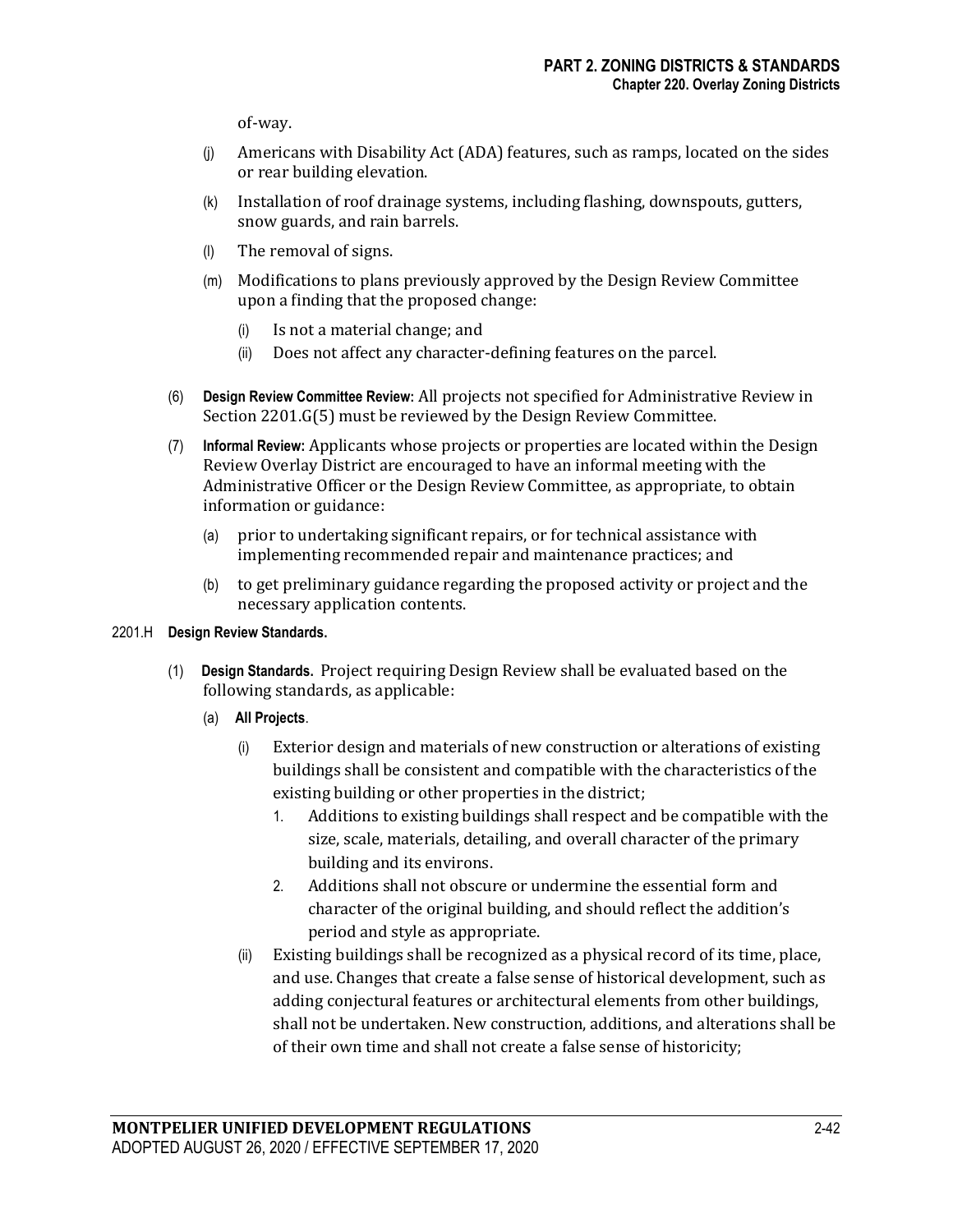of-way.

- (j) Americans with Disability Act (ADA) features, such as ramps, located on the sides or rear building elevation.
- (k) Installation of roof drainage systems, including flashing, downspouts, gutters, snow guards, and rain barrels.
- (l) The removal of signs.
- (m) Modifications to plans previously approved by the Design Review Committee upon a finding that the proposed change:
	- (i) Is not a material change; and
	- (ii) Does not affect any character-defining features on the parcel.
- (6) **Design Review Committee Review**: All projects not specified for Administrative Review in Section 2201.G(5) must be reviewed by the Design Review Committee.
- (7) **Informal Review:** Applicants whose projects or properties are located within the Design Review Overlay District are encouraged to have an informal meeting with the Administrative Officer or the Design Review Committee, as appropriate, to obtain information or guidance:
	- (a) prior to undertaking significant repairs, or for technical assistance with implementing recommended repair and maintenance practices; and
	- (b) to get preliminary guidance regarding the proposed activity or project and the necessary application contents.

#### 2201.H **Design Review Standards.**

- (1) **Design Standards.** Project requiring Design Review shall be evaluated based on the following standards, as applicable:
	- (a) **All Projects**.
		- (i) Exterior design and materials of new construction or alterations of existing buildings shall be consistent and compatible with the characteristics of the existing building or other properties in the district;
			- 1. Additions to existing buildings shall respect and be compatible with the size, scale, materials, detailing, and overall character of the primary building and its environs.
			- 2. Additions shall not obscure or undermine the essential form and character of the original building, and should reflect the addition's period and style as appropriate.
		- (ii) Existing buildings shall be recognized as a physical record of its time, place, and use. Changes that create a false sense of historical development, such as adding conjectural features or architectural elements from other buildings, shall not be undertaken. New construction, additions, and alterations shall be of their own time and shall not create a false sense of historicity;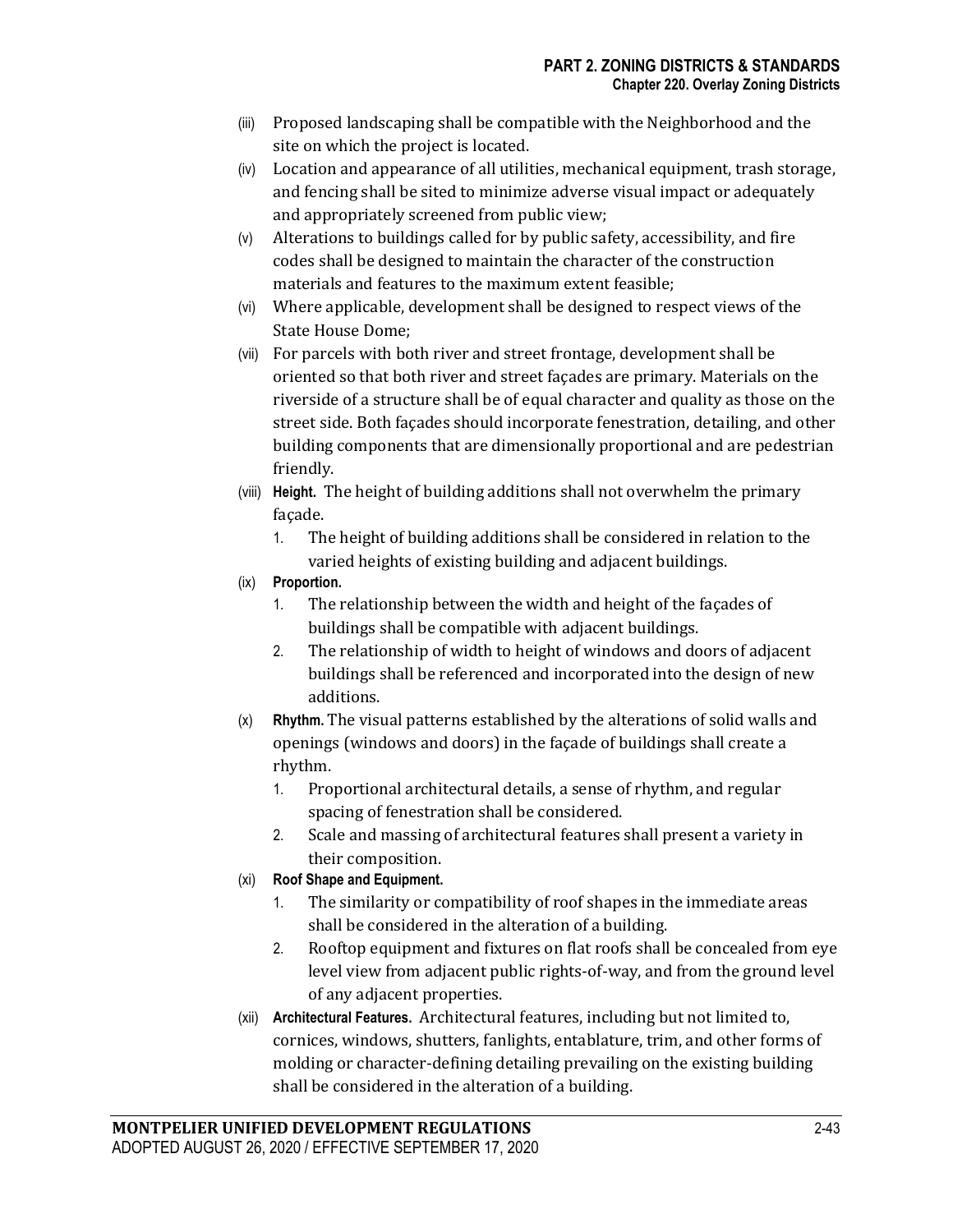- (iii) Proposed landscaping shall be compatible with the Neighborhood and the site on which the project is located.
- (iv) Location and appearance of all utilities, mechanical equipment, trash storage, and fencing shall be sited to minimize adverse visual impact or adequately and appropriately screened from public view;
- (v) Alterations to buildings called for by public safety, accessibility, and fire codes shall be designed to maintain the character of the construction materials and features to the maximum extent feasible;
- (vi) Where applicable, development shall be designed to respect views of the State House Dome;
- (vii) For parcels with both river and street frontage, development shall be oriented so that both river and street façades are primary. Materials on the riverside of a structure shall be of equal character and quality as those on the street side. Both façades should incorporate fenestration, detailing, and other building components that are dimensionally proportional and are pedestrian friendly.
- (viii) **Height.** The height of building additions shall not overwhelm the primary façade.
	- 1. The height of building additions shall be considered in relation to the varied heights of existing building and adjacent buildings.
- (ix) **Proportion.**
	- 1. The relationship between the width and height of the façades of buildings shall be compatible with adjacent buildings.
	- 2. The relationship of width to height of windows and doors of adjacent buildings shall be referenced and incorporated into the design of new additions.
- (x) **Rhythm.** The visual patterns established by the alterations of solid walls and openings (windows and doors) in the façade of buildings shall create a rhythm.
	- 1. Proportional architectural details, a sense of rhythm, and regular spacing of fenestration shall be considered.
	- 2. Scale and massing of architectural features shall present a variety in their composition.
- (xi) **Roof Shape and Equipment.**
	- 1. The similarity or compatibility of roof shapes in the immediate areas shall be considered in the alteration of a building.
	- 2. Rooftop equipment and fixtures on flat roofs shall be concealed from eye level view from adjacent public rights-of-way, and from the ground level of any adjacent properties.
- (xii) **Architectural Features.** Architectural features, including but not limited to, cornices, windows, shutters, fanlights, entablature, trim, and other forms of molding or character-defining detailing prevailing on the existing building shall be considered in the alteration of a building.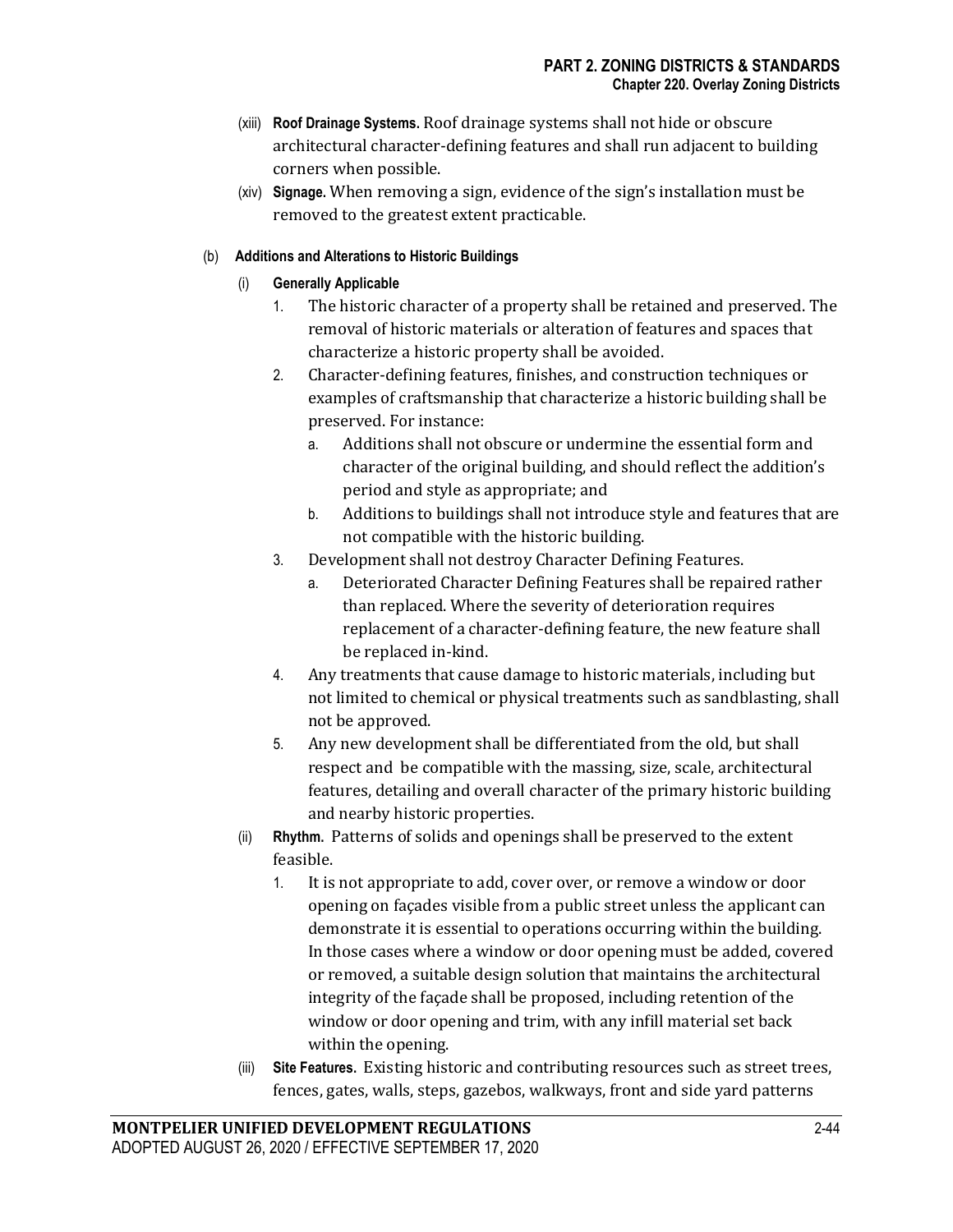- (xiii) **Roof Drainage Systems.** Roof drainage systems shall not hide or obscure architectural character-defining features and shall run adjacent to building corners when possible.
- (xiv) **Signage.** When removing a sign, evidence of the sign's installation must be removed to the greatest extent practicable.

# (b) **Additions and Alterations to Historic Buildings**

# (i) **Generally Applicable**

- 1. The historic character of a property shall be retained and preserved. The removal of historic materials or alteration of features and spaces that characterize a historic property shall be avoided.
- 2. Character-defining features, finishes, and construction techniques or examples of craftsmanship that characterize a historic building shall be preserved. For instance:
	- a. Additions shall not obscure or undermine the essential form and character of the original building, and should reflect the addition's period and style as appropriate; and
	- b. Additions to buildings shall not introduce style and features that are not compatible with the historic building.
- 3. Development shall not destroy Character Defining Features.
	- a. Deteriorated Character Defining Features shall be repaired rather than replaced. Where the severity of deterioration requires replacement of a character-defining feature, the new feature shall be replaced in-kind.
- 4. Any treatments that cause damage to historic materials, including but not limited to chemical or physical treatments such as sandblasting, shall not be approved.
- 5. Any new development shall be differentiated from the old, but shall respect and be compatible with the massing, size, scale, architectural features, detailing and overall character of the primary historic building and nearby historic properties.
- (ii) **Rhythm.** Patterns of solids and openings shall be preserved to the extent feasible.
	- 1. It is not appropriate to add, cover over, or remove a window or door opening on façades visible from a public street unless the applicant can demonstrate it is essential to operations occurring within the building. In those cases where a window or door opening must be added, covered or removed, a suitable design solution that maintains the architectural integrity of the façade shall be proposed, including retention of the window or door opening and trim, with any infill material set back within the opening.
- (iii) **Site Features.** Existing historic and contributing resources such as street trees, fences, gates, walls, steps, gazebos, walkways, front and side yard patterns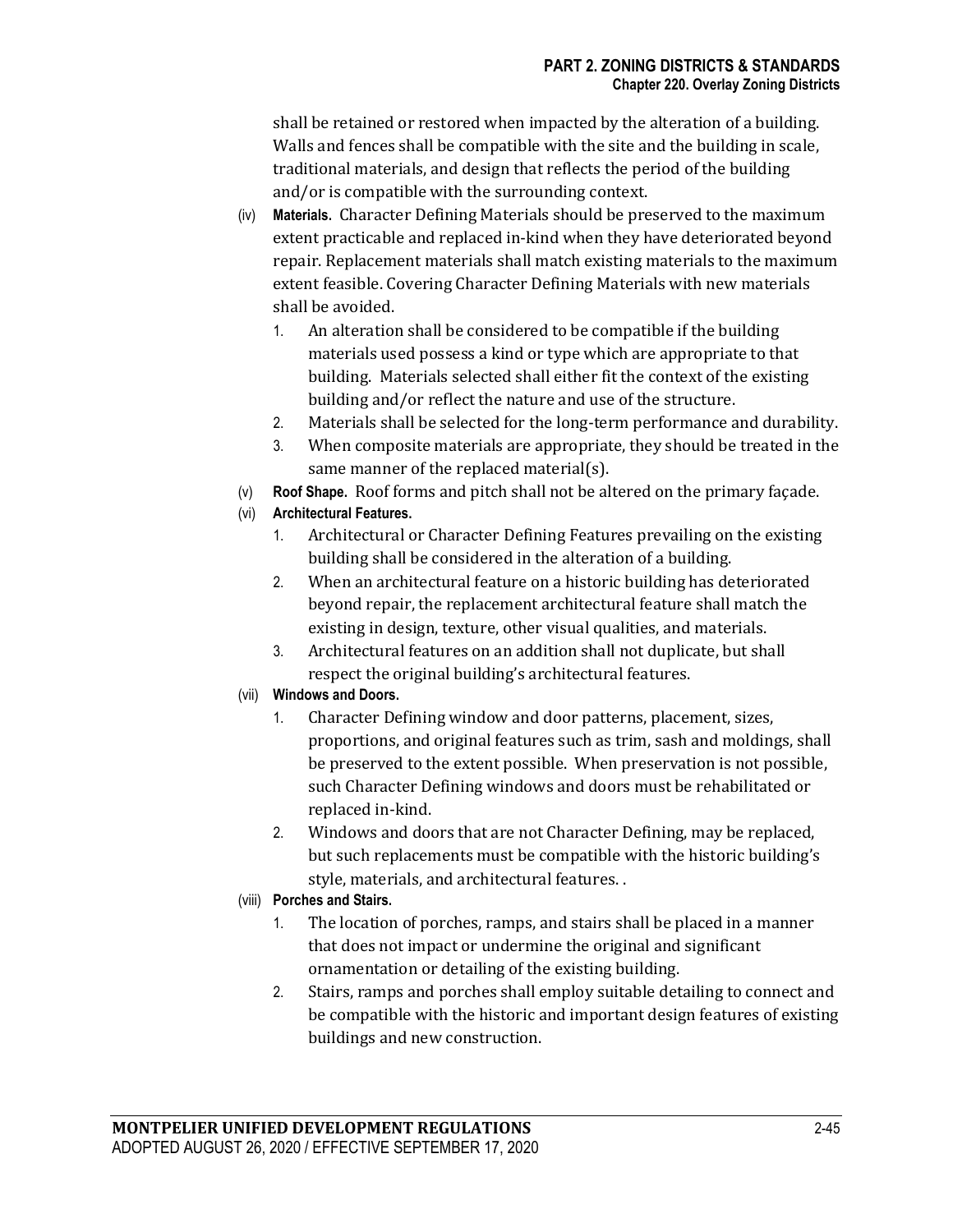shall be retained or restored when impacted by the alteration of a building. Walls and fences shall be compatible with the site and the building in scale, traditional materials, and design that reflects the period of the building and/or is compatible with the surrounding context.

- (iv) **Materials.** Character Defining Materials should be preserved to the maximum extent practicable and replaced in-kind when they have deteriorated beyond repair. Replacement materials shall match existing materials to the maximum extent feasible. Covering Character Defining Materials with new materials shall be avoided.
	- 1. An alteration shall be considered to be compatible if the building materials used possess a kind or type which are appropriate to that building. Materials selected shall either fit the context of the existing building and/or reflect the nature and use of the structure.
	- 2. Materials shall be selected for the long-term performance and durability.
	- 3. When composite materials are appropriate, they should be treated in the same manner of the replaced material(s).
- (v) **Roof Shape.** Roof forms and pitch shall not be altered on the primary façade.
- (vi) **Architectural Features.**
	- 1. Architectural or Character Defining Features prevailing on the existing building shall be considered in the alteration of a building.
	- 2. When an architectural feature on a historic building has deteriorated beyond repair, the replacement architectural feature shall match the existing in design, texture, other visual qualities, and materials.
	- 3. Architectural features on an addition shall not duplicate, but shall respect the original building's architectural features.

# (vii) **Windows and Doors.**

- 1. Character Defining window and door patterns, placement, sizes, proportions, and original features such as trim, sash and moldings, shall be preserved to the extent possible. When preservation is not possible, such Character Defining windows and doors must be rehabilitated or replaced in-kind.
- 2. Windows and doors that are not Character Defining, may be replaced, but such replacements must be compatible with the historic building's style, materials, and architectural features. .

### (viii) **Porches and Stairs.**

- 1. The location of porches, ramps, and stairs shall be placed in a manner that does not impact or undermine the original and significant ornamentation or detailing of the existing building.
- 2. Stairs, ramps and porches shall employ suitable detailing to connect and be compatible with the historic and important design features of existing buildings and new construction.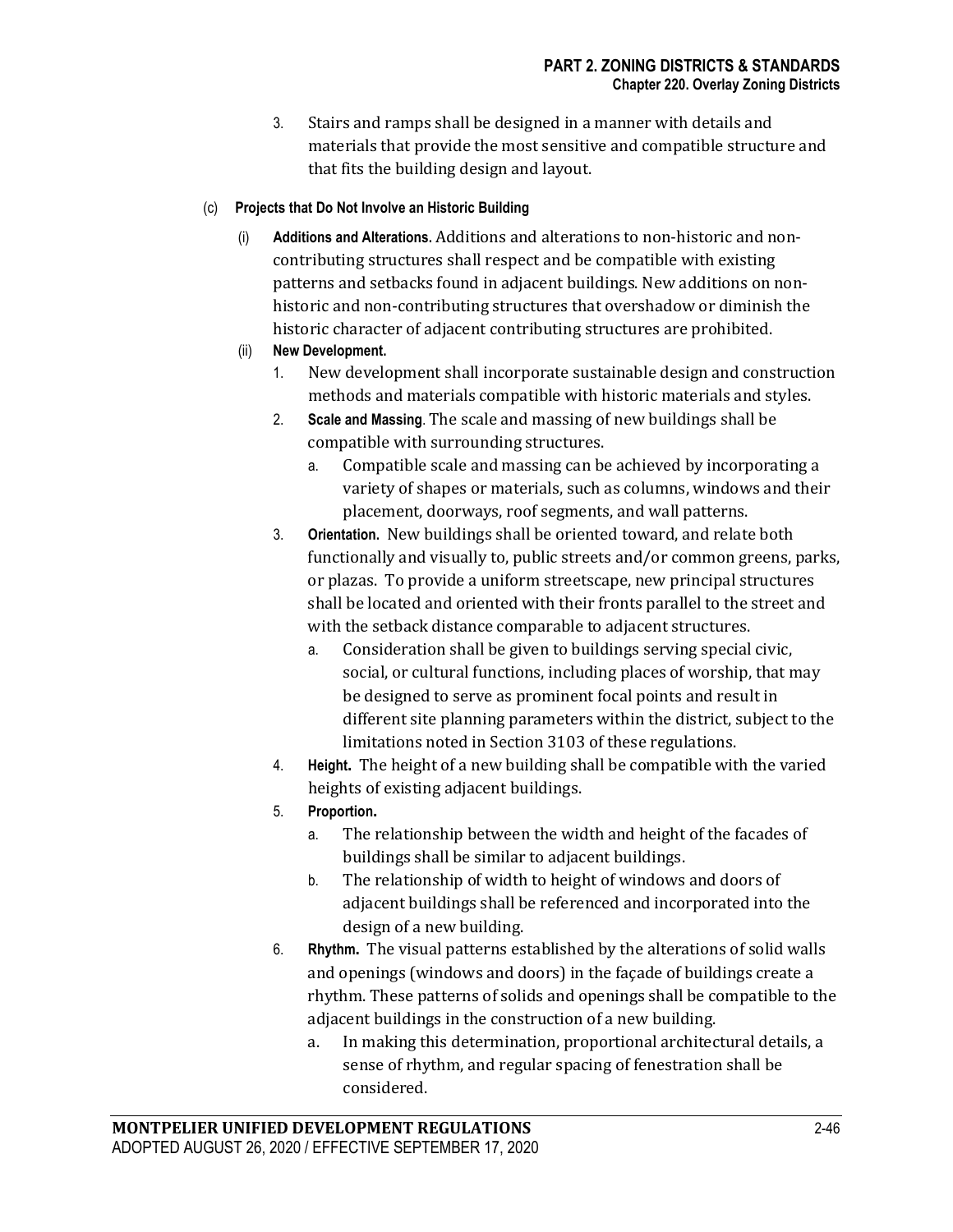3. Stairs and ramps shall be designed in a manner with details and materials that provide the most sensitive and compatible structure and that fits the building design and layout.

## (c) **Projects that Do Not Involve an Historic Building**

- (i) **Additions and Alterations.** Additions and alterations to non-historic and noncontributing structures shall respect and be compatible with existing patterns and setbacks found in adjacent buildings. New additions on nonhistoric and non-contributing structures that overshadow or diminish the historic character of adjacent contributing structures are prohibited.
- (ii) **New Development.**
	- 1. New development shall incorporate sustainable design and construction methods and materials compatible with historic materials and styles.
	- 2. **Scale and Massing**. The scale and massing of new buildings shall be compatible with surrounding structures.
		- a. Compatible scale and massing can be achieved by incorporating a variety of shapes or materials, such as columns, windows and their placement, doorways, roof segments, and wall patterns.
	- 3. **Orientation.** New buildings shall be oriented toward, and relate both functionally and visually to, public streets and/or common greens, parks, or plazas. To provide a uniform streetscape, new principal structures shall be located and oriented with their fronts parallel to the street and with the setback distance comparable to adjacent structures.
		- a. Consideration shall be given to buildings serving special civic, social, or cultural functions, including places of worship, that may be designed to serve as prominent focal points and result in different site planning parameters within the district, subject to the limitations noted in Section 3103 of these regulations.
	- 4. **Height.** The height of a new building shall be compatible with the varied heights of existing adjacent buildings.
	- 5. **Proportion.**
		- a. The relationship between the width and height of the facades of buildings shall be similar to adjacent buildings.
		- b. The relationship of width to height of windows and doors of adjacent buildings shall be referenced and incorporated into the design of a new building.
	- 6. **Rhythm.** The visual patterns established by the alterations of solid walls and openings (windows and doors) in the façade of buildings create a rhythm. These patterns of solids and openings shall be compatible to the adjacent buildings in the construction of a new building.
		- a. In making this determination, proportional architectural details, a sense of rhythm, and regular spacing of fenestration shall be considered.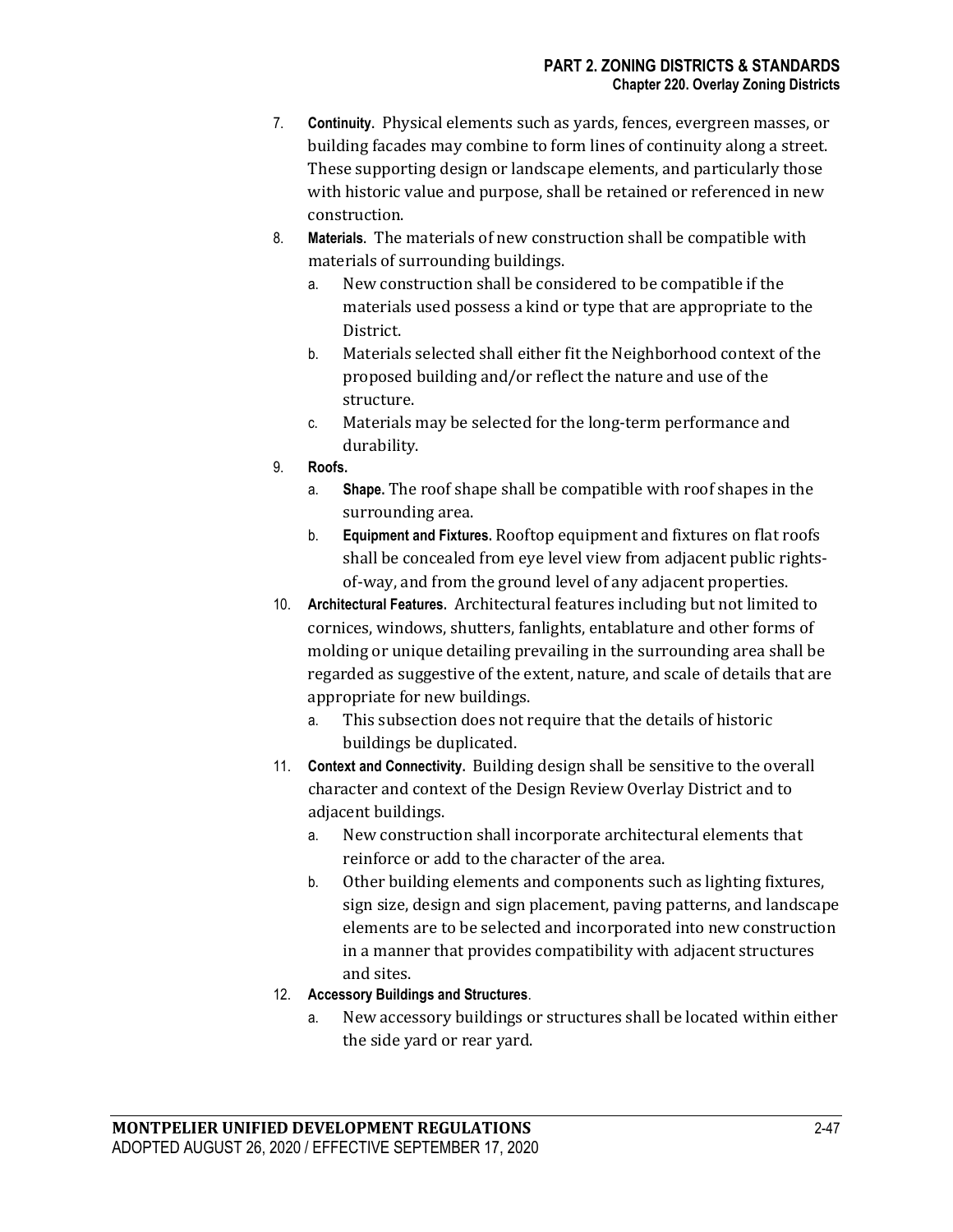- 7. **Continuity**. Physical elements such as yards, fences, evergreen masses, or building facades may combine to form lines of continuity along a street. These supporting design or landscape elements, and particularly those with historic value and purpose, shall be retained or referenced in new construction.
- 8. **Materials**. The materials of new construction shall be compatible with materials of surrounding buildings.
	- a. New construction shall be considered to be compatible if the materials used possess a kind or type that are appropriate to the District.
	- b. Materials selected shall either fit the Neighborhood context of the proposed building and/or reflect the nature and use of the structure.
	- c. Materials may be selected for the long-term performance and durability.
- 9. **Roofs.**
	- a. **Shape.** The roof shape shall be compatible with roof shapes in the surrounding area.
	- b. **Equipment and Fixtures.** Rooftop equipment and fixtures on flat roofs shall be concealed from eye level view from adjacent public rightsof-way, and from the ground level of any adjacent properties.
- 10. **Architectural Features.** Architectural features including but not limited to cornices, windows, shutters, fanlights, entablature and other forms of molding or unique detailing prevailing in the surrounding area shall be regarded as suggestive of the extent, nature, and scale of details that are appropriate for new buildings.
	- a. This subsection does not require that the details of historic buildings be duplicated.
- 11. **Context and Connectivity.** Building design shall be sensitive to the overall character and context of the Design Review Overlay District and to adjacent buildings.
	- a. New construction shall incorporate architectural elements that reinforce or add to the character of the area.
	- b. Other building elements and components such as lighting fixtures, sign size, design and sign placement, paving patterns, and landscape elements are to be selected and incorporated into new construction in a manner that provides compatibility with adjacent structures and sites.
- 12. **Accessory Buildings and Structures**.
	- a. New accessory buildings or structures shall be located within either the side yard or rear yard.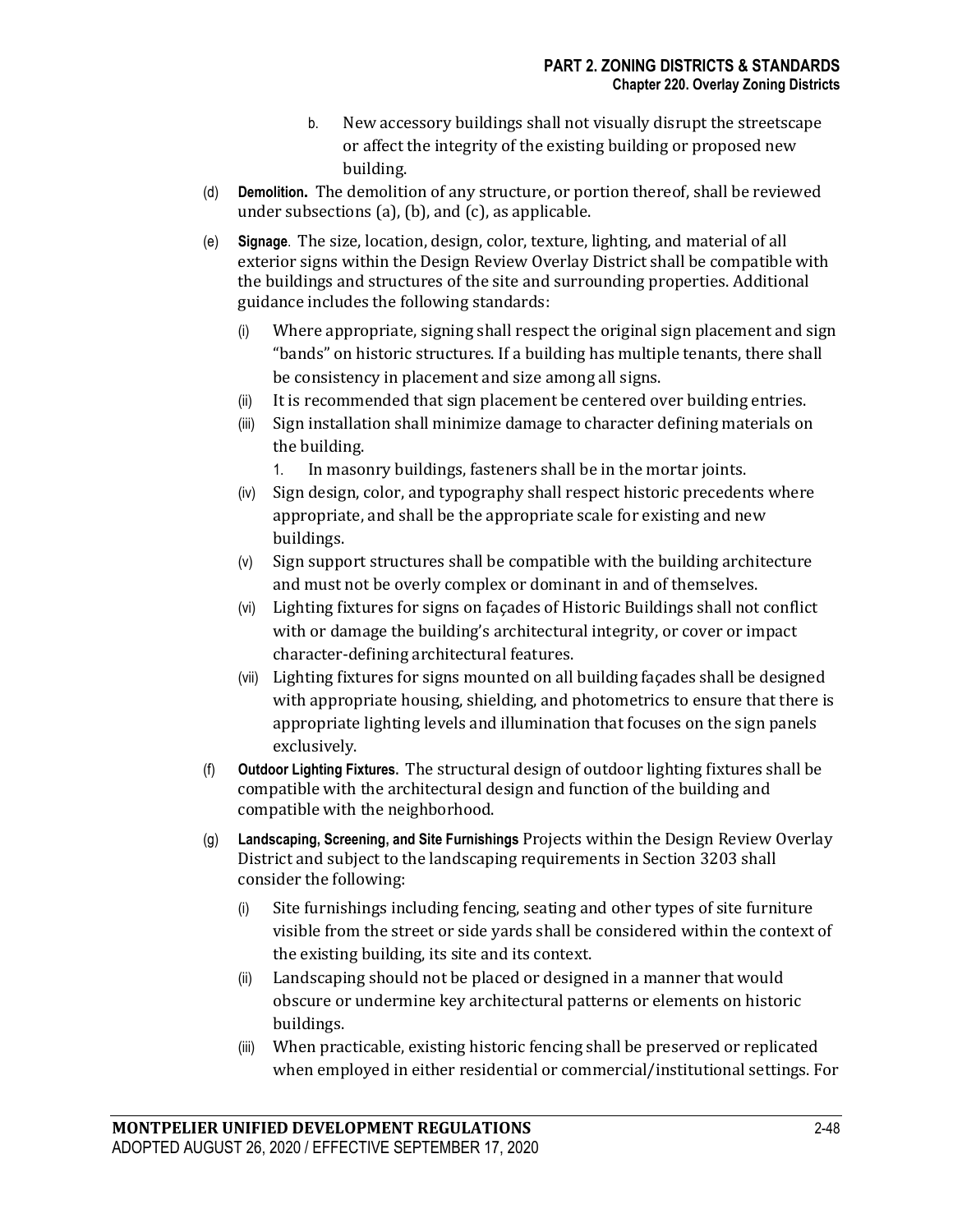- b. New accessory buildings shall not visually disrupt the streetscape or affect the integrity of the existing building or proposed new building.
- (d) **Demolition.** The demolition of any structure, or portion thereof, shall be reviewed under subsections (a), (b), and (c), as applicable.
- (e) **Signage**. The size, location, design, color, texture, lighting, and material of all exterior signs within the Design Review Overlay District shall be compatible with the buildings and structures of the site and surrounding properties. Additional guidance includes the following standards:
	- (i) Where appropriate, signing shall respect the original sign placement and sign "bands" on historic structures. If a building has multiple tenants, there shall be consistency in placement and size among all signs.
	- (ii) It is recommended that sign placement be centered over building entries.
	- (iii) Sign installation shall minimize damage to character defining materials on the building.
		- 1. In masonry buildings, fasteners shall be in the mortar joints.
	- (iv) Sign design, color, and typography shall respect historic precedents where appropriate, and shall be the appropriate scale for existing and new buildings.
	- (v) Sign support structures shall be compatible with the building architecture and must not be overly complex or dominant in and of themselves.
	- (vi) Lighting fixtures for signs on façades of Historic Buildings shall not conflict with or damage the building's architectural integrity, or cover or impact character-defining architectural features.
	- (vii) Lighting fixtures for signs mounted on all building façades shall be designed with appropriate housing, shielding, and photometrics to ensure that there is appropriate lighting levels and illumination that focuses on the sign panels exclusively.
- (f) **Outdoor Lighting Fixtures.** The structural design of outdoor lighting fixtures shall be compatible with the architectural design and function of the building and compatible with the neighborhood.
- (g) **Landscaping, Screening, and Site Furnishings** Projects within the Design Review Overlay District and subject to the landscaping requirements in Section 3203 shall consider the following:
	- (i) Site furnishings including fencing, seating and other types of site furniture visible from the street or side yards shall be considered within the context of the existing building, its site and its context.
	- (ii) Landscaping should not be placed or designed in a manner that would obscure or undermine key architectural patterns or elements on historic buildings.
	- (iii) When practicable, existing historic fencing shall be preserved or replicated when employed in either residential or commercial/institutional settings. For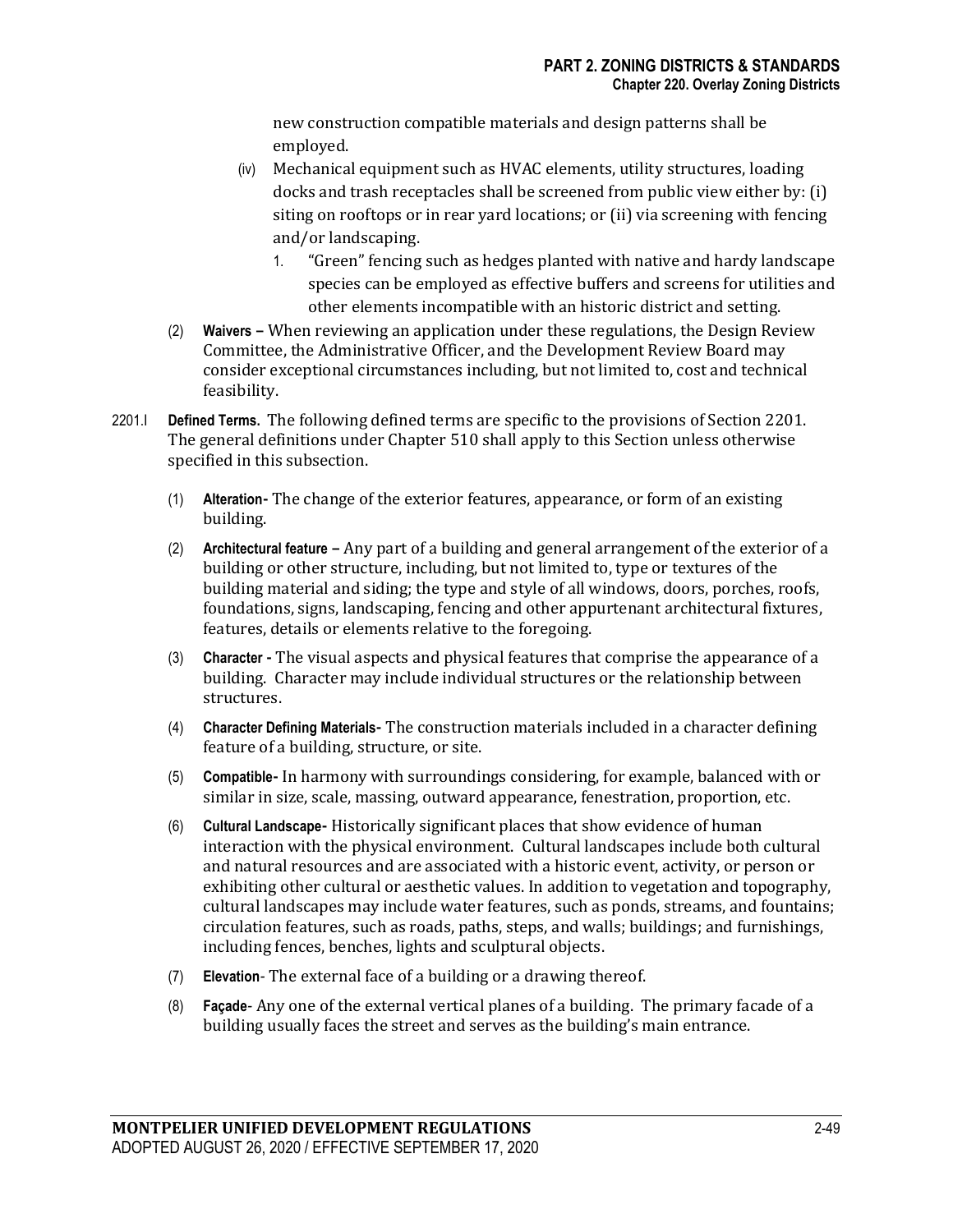new construction compatible materials and design patterns shall be employed.

- (iv) Mechanical equipment such as HVAC elements, utility structures, loading docks and trash receptacles shall be screened from public view either by: (i) siting on rooftops or in rear yard locations; or (ii) via screening with fencing and/or landscaping.
	- 1. "Green" fencing such as hedges planted with native and hardy landscape species can be employed as effective buffers and screens for utilities and other elements incompatible with an historic district and setting.
- (2) **Waivers –** When reviewing an application under these regulations, the Design Review Committee, the Administrative Officer, and the Development Review Board may consider exceptional circumstances including, but not limited to, cost and technical feasibility.
- 2201.I **Defined Terms.** The following defined terms are specific to the provisions of Section 2201. The general definitions under Chapter 510 shall apply to this Section unless otherwise specified in this subsection.
	- (1) **Alteration-** The change of the exterior features, appearance, or form of an existing building.
	- (2) **Architectural feature –** Any part of a building and general arrangement of the exterior of a building or other structure, including, but not limited to, type or textures of the building material and siding; the type and style of all windows, doors, porches, roofs, foundations, signs, landscaping, fencing and other appurtenant architectural fixtures, features, details or elements relative to the foregoing.
	- (3) **Character -** The visual aspects and physical features that comprise the appearance of a building. Character may include individual structures or the relationship between structures.
	- (4) **Character Defining Materials-** The construction materials included in a character defining feature of a building, structure, or site.
	- (5) **Compatible-** In harmony with surroundings considering, for example, balanced with or similar in size, scale, massing, outward appearance, fenestration, proportion, etc.
	- (6) **Cultural Landscape-** Historically significant places that show evidence of human interaction with the physical environment. Cultural landscapes include both cultural and natural resources and are associated with a historic event, activity, or person or exhibiting other cultural or aesthetic values. In addition to vegetation and topography, cultural landscapes may include water features, such as ponds, streams, and fountains; circulation features, such as roads, paths, steps, and walls; buildings; and furnishings, including fences, benches, lights and sculptural objects.
	- (7) **Elevation***-* The external face of a building or a drawing thereof.
	- (8) **Façade***-* Any one of the external vertical planes of a building. The primary facade of a building usually faces the street and serves as the building's main entrance.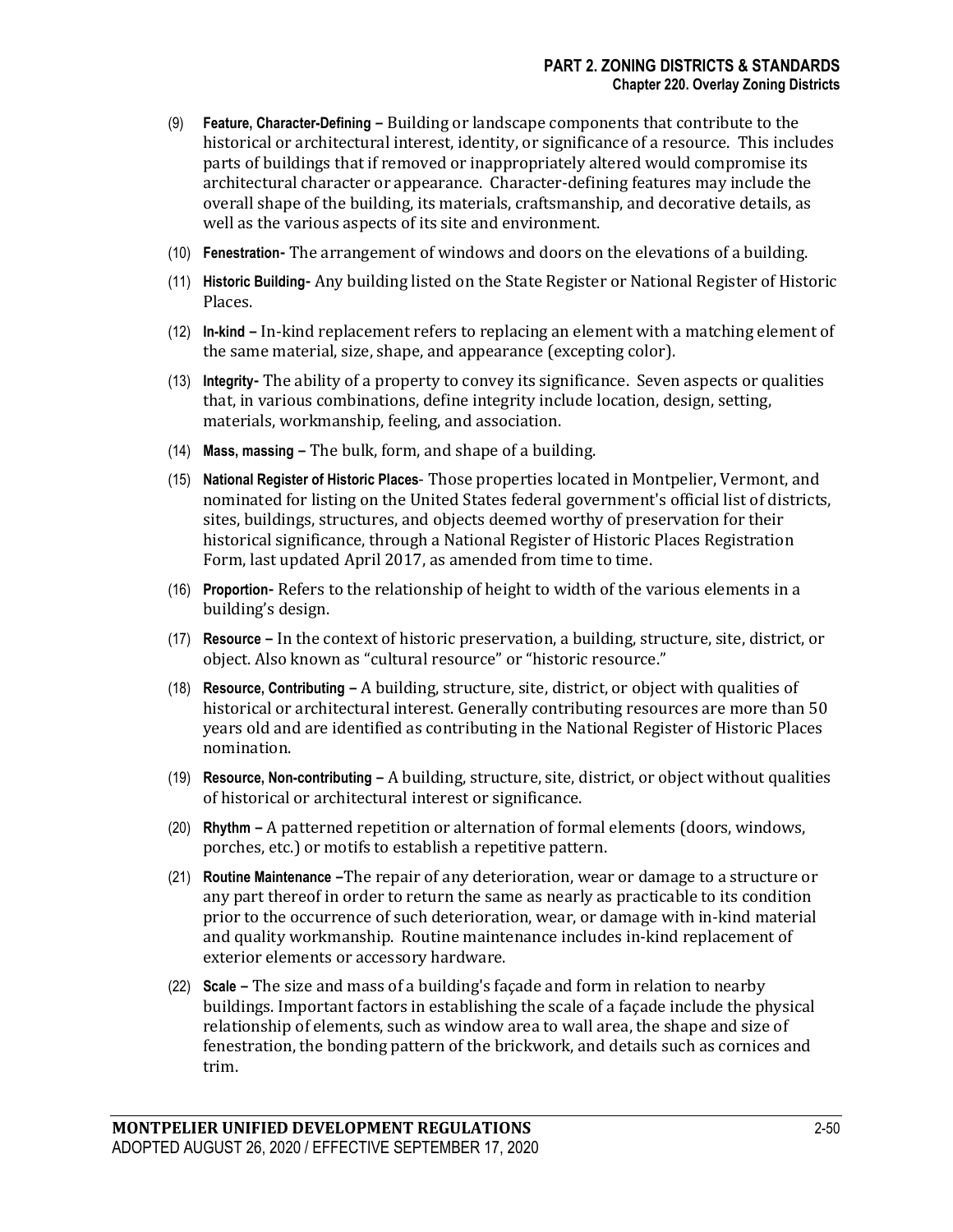- (9) **Feature, Character-Defining –** Building or landscape components that contribute to the historical or architectural interest, identity, or significance of a resource. This includes parts of buildings that if removed or inappropriately altered would compromise its architectural character or appearance. Character-defining features may include the overall shape of the building, its materials, craftsmanship, and decorative details, as well as the various aspects of its site and environment.
- (10) **Fenestration-** The arrangement of windows and doors on the elevations of a building.
- (11) **Historic Building-** Any building listed on the State Register or National Register of Historic Places.
- (12) **In-kind –** In-kind replacement refers to replacing an element with a matching element of the same material, size, shape, and appearance (excepting color).
- (13) **Integrity-** The ability of a property to convey its significance. Seven aspects or qualities that, in various combinations, define integrity include location, design, setting, materials, workmanship, feeling, and association.
- (14) **Mass, massing –** The bulk, form, and shape of a building.
- (15) **National Register of Historic Places** Those properties located in Montpelier, Vermont, and nominated for listing on the United States federal government's official list of districts, sites, buildings, structures, and objects deemed worthy of preservation for their historical significance, through a National Register of Historic Places Registration Form, last updated April 2017, as amended from time to time.
- (16) **Proportion-** Refers to the relationship of height to width of the various elements in a building's design.
- (17) **Resource –** In the context of historic preservation, a building, structure, site, district, or object. Also known as "cultural resource" or "historic resource."
- (18) **Resource, Contributing –** A building, structure, site, district, or object with qualities of historical or architectural interest. Generally contributing resources are more than 50 years old and are identified as contributing in the National Register of Historic Places nomination.
- (19) **Resource, Non-contributing –** A building, structure, site, district, or object without qualities of historical or architectural interest or significance.
- (20) **Rhythm –** A patterned repetition or alternation of formal elements (doors, windows, porches, etc.) or motifs to establish a repetitive pattern.
- (21) **Routine Maintenance –**The repair of any deterioration, wear or damage to a structure or any part thereof in order to return the same as nearly as practicable to its condition prior to the occurrence of such deterioration, wear, or damage with in-kind material and quality workmanship. Routine maintenance includes in-kind replacement of exterior elements or accessory hardware.
- (22) **Scale –** The size and mass of a building's façade and form in relation to nearby buildings. Important factors in establishing the scale of a façade include the physical relationship of elements, such as window area to wall area, the shape and size of fenestration, the bonding pattern of the brickwork, and details such as cornices and trim.